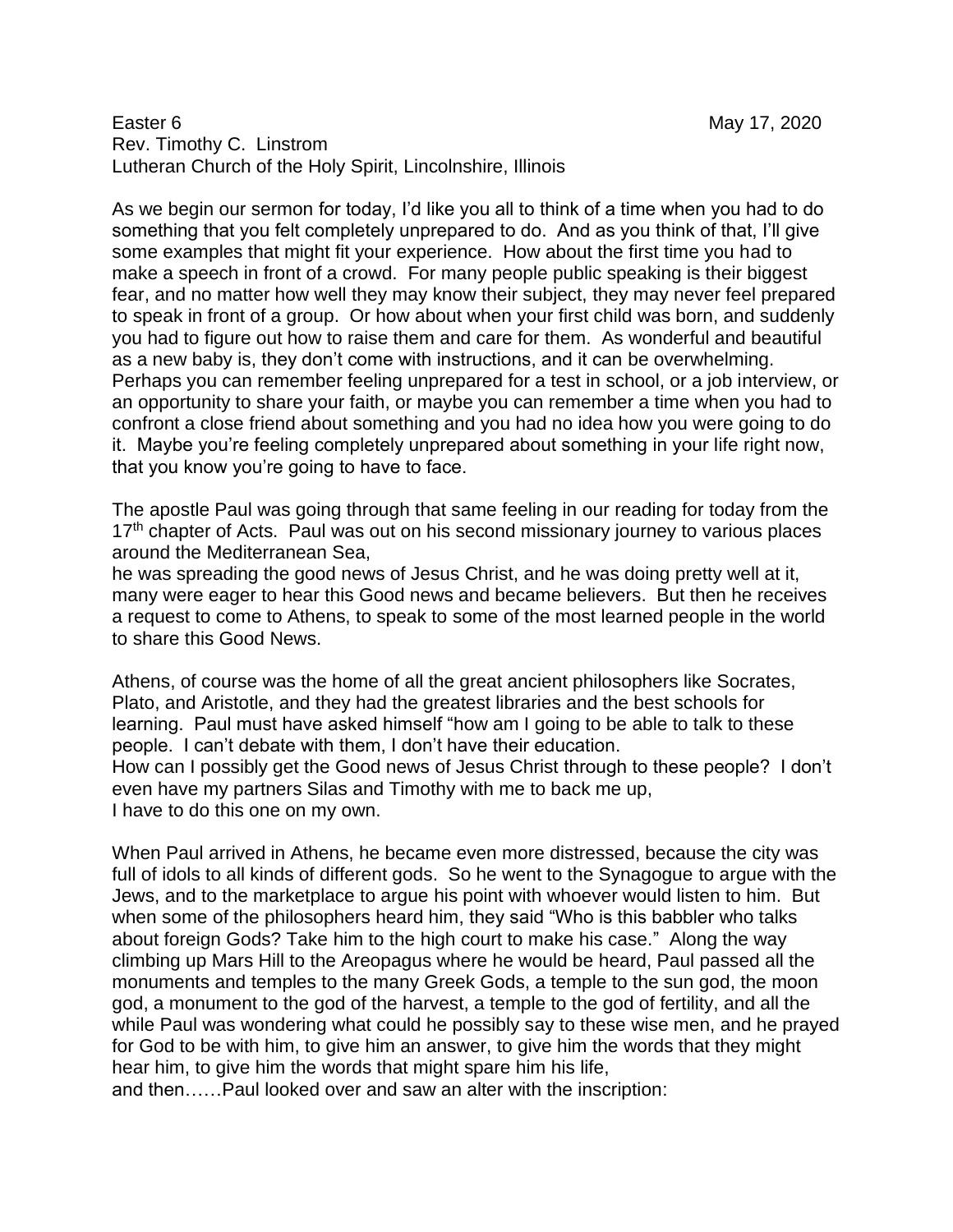## Easter 6 May 17, 2020 Rev. Timothy C. Linstrom Lutheran Church of the Holy Spirit, Lincolnshire, Illinois

As we begin our sermon for today, I'd like you all to think of a time when you had to do something that you felt completely unprepared to do. And as you think of that, I'll give some examples that might fit your experience. How about the first time you had to make a speech in front of a crowd. For many people public speaking is their biggest fear, and no matter how well they may know their subject, they may never feel prepared to speak in front of a group. Or how about when your first child was born, and suddenly you had to figure out how to raise them and care for them. As wonderful and beautiful as a new baby is, they don't come with instructions, and it can be overwhelming. Perhaps you can remember feeling unprepared for a test in school, or a job interview, or an opportunity to share your faith, or maybe you can remember a time when you had to confront a close friend about something and you had no idea how you were going to do it. Maybe you're feeling completely unprepared about something in your life right now, that you know you're going to have to face.

The apostle Paul was going through that same feeling in our reading for today from the 17<sup>th</sup> chapter of Acts. Paul was out on his second missionary journey to various places around the Mediterranean Sea,

he was spreading the good news of Jesus Christ, and he was doing pretty well at it, many were eager to hear this Good news and became believers. But then he receives a request to come to Athens, to speak to some of the most learned people in the world to share this Good News.

Athens, of course was the home of all the great ancient philosophers like Socrates, Plato, and Aristotle, and they had the greatest libraries and the best schools for learning. Paul must have asked himself "how am I going to be able to talk to these people. I can't debate with them, I don't have their education. How can I possibly get the Good news of Jesus Christ through to these people? I don't even have my partners Silas and Timothy with me to back me up, I have to do this one on my own.

When Paul arrived in Athens, he became even more distressed, because the city was full of idols to all kinds of different gods. So he went to the Synagogue to argue with the Jews, and to the marketplace to argue his point with whoever would listen to him. But when some of the philosophers heard him, they said "Who is this babbler who talks about foreign Gods? Take him to the high court to make his case." Along the way climbing up Mars Hill to the Areopagus where he would be heard, Paul passed all the monuments and temples to the many Greek Gods, a temple to the sun god, the moon god, a monument to the god of the harvest, a temple to the god of fertility, and all the while Paul was wondering what could he possibly say to these wise men, and he prayed for God to be with him, to give him an answer, to give him the words that they might hear him, to give him the words that might spare him his life,

and then……Paul looked over and saw an alter with the inscription: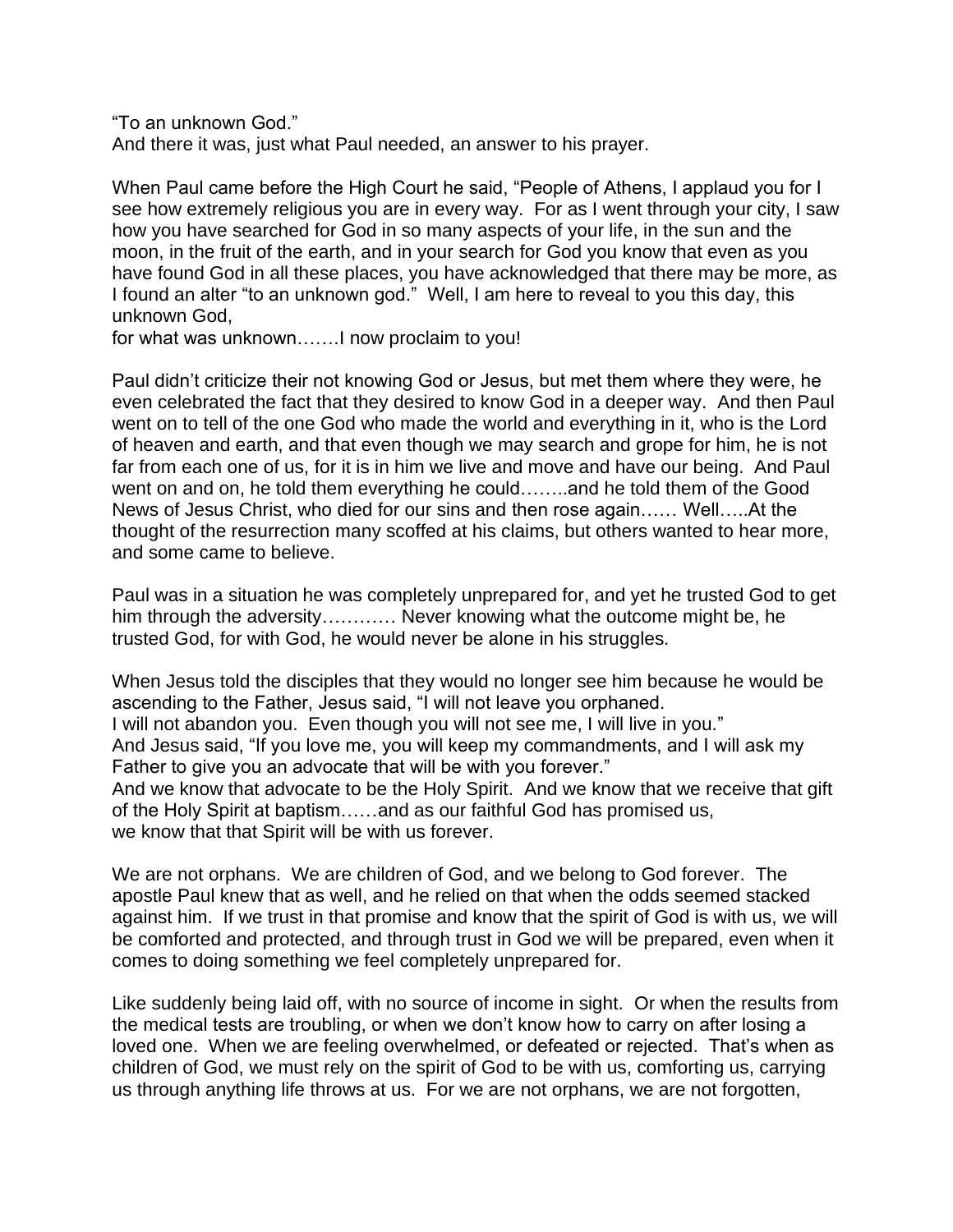"To an unknown God." And there it was, just what Paul needed, an answer to his prayer.

When Paul came before the High Court he said, "People of Athens, I applaud you for I see how extremely religious you are in every way. For as I went through your city, I saw how you have searched for God in so many aspects of your life, in the sun and the moon, in the fruit of the earth, and in your search for God you know that even as you have found God in all these places, you have acknowledged that there may be more, as I found an alter "to an unknown god." Well, I am here to reveal to you this day, this unknown God,

for what was unknown…….I now proclaim to you!

Paul didn't criticize their not knowing God or Jesus, but met them where they were, he even celebrated the fact that they desired to know God in a deeper way. And then Paul went on to tell of the one God who made the world and everything in it, who is the Lord of heaven and earth, and that even though we may search and grope for him, he is not far from each one of us, for it is in him we live and move and have our being. And Paul went on and on, he told them everything he could……..and he told them of the Good News of Jesus Christ, who died for our sins and then rose again…… Well…..At the thought of the resurrection many scoffed at his claims, but others wanted to hear more, and some came to believe.

Paul was in a situation he was completely unprepared for, and yet he trusted God to get him through the adversity………… Never knowing what the outcome might be, he trusted God, for with God, he would never be alone in his struggles.

When Jesus told the disciples that they would no longer see him because he would be ascending to the Father, Jesus said, "I will not leave you orphaned. I will not abandon you. Even though you will not see me, I will live in you." And Jesus said, "If you love me, you will keep my commandments, and I will ask my Father to give you an advocate that will be with you forever." And we know that advocate to be the Holy Spirit. And we know that we receive that gift of the Holy Spirit at baptism……and as our faithful God has promised us, we know that that Spirit will be with us forever.

We are not orphans. We are children of God, and we belong to God forever. The apostle Paul knew that as well, and he relied on that when the odds seemed stacked against him. If we trust in that promise and know that the spirit of God is with us, we will be comforted and protected, and through trust in God we will be prepared, even when it comes to doing something we feel completely unprepared for.

Like suddenly being laid off, with no source of income in sight. Or when the results from the medical tests are troubling, or when we don't know how to carry on after losing a loved one. When we are feeling overwhelmed, or defeated or rejected. That's when as children of God, we must rely on the spirit of God to be with us, comforting us, carrying us through anything life throws at us. For we are not orphans, we are not forgotten,